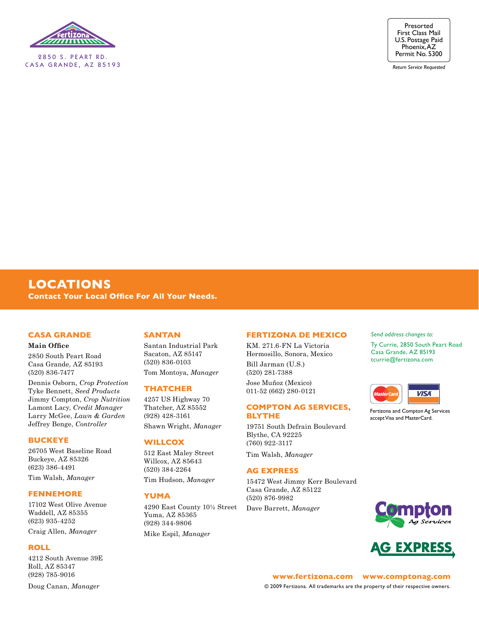

2850 S. PEART RD. CASA GRANDE, AZ 85193



*Return Service Requested*

## **LOCATIONS Contact Your Local Office For All Your Needs.**

## **Casa Grande**

#### **Main Office**

2850 South Peart Road Casa Grande, AZ 85193 (520) 836-7477

Dennis Osborn, *Crop Protection* Tyke Bennett, *Seed Products* Jimmy Compton, *Crop Nutrition* Lamont Lacy, *Credit Manager* Larry McGee, *Lawn & Garden* Jeffrey Benge, *Controller*

#### **Buckeye**

26705 West Baseline Road Buckeye, AZ 85326 (623) 386-4491

Tim Walsh, *Manager*

## **Fennemore**

17102 West Olive Avenue Waddell, AZ 85355 (623) 935-4252

Craig Allen, *Manager*

## **Roll**

4212 South Avenue 39E Roll, AZ 85347 (928) 785-9016

## **SanTan**

Santan Industrial Park Sacaton, AZ 85147 (520) 836-0103 Tom Montoya, *Manager*

#### **Thatcher**

4257 US Highway 70 Thatcher, AZ 85552 (928) 428-3161 Shawn Wright, *Manager*

### **Willcox**

512 East Maley Street Willcox, AZ 85643 (520) 384-2264 Tim Hudson, *Manager*

## **Yuma**

4290 East County 10½ Street Yuma, AZ 85365 (928) 344-9806 Mike Espil, *Manager*

## **Fertizona De Mexico**

KM. 271.6-FN La Victoria Hermosillo, Sonora, Mexico Bill Jarman (U.S.) (520) 281-7388 Jose Muñoz (Mexico) 011-52 (662) 280-0121

## **Compton Ag Services, Blythe**

19751 South Defrain Boulevard Blythe, CA 92225 (760) 922-3117

Tim Walsh, *Manager*

#### **Ag Express**

15472 West Jimmy Kerr Boulevard Casa Grande, AZ 85122 (520) 876-9982 Dave Barrett, *Manager*

#### *Send address changes to:*

Ty Currie, 2850 South Peart Road Casa Grande, AZ 85193 tcurrie@fertizona.com



Fertizona and Compton Ag Services accept Visa and MasterCard.





**www.fertizona.com www.comptonag.com** © 2009 Fertizona. All trademarks are the property of their respective owners.

Doug Canan, *Manager*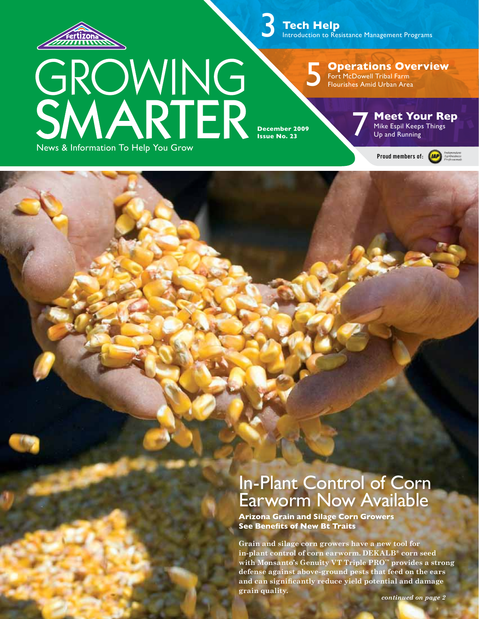

 **Tech Help** Introduction to Resistance Management Programs 3

GROWING<br>SMARTER News & Information To Help You Grow

**Operations Overview** Fort McDowell Tribal Farm Flourishes Amid Urban Area

**December 2009 Issue No. 23** 

5

**Meet Your Rep**<br>
Mike Espil Keeps Things<br>
Up and Running

Proud members of: **(AP)** 



# In-Plant Control of Corn Earworm Now Available

**Arizona Grain and Silage Corn Growers See Benefits of New Bt Traits**

**Grain and silage corn growers have a new tool for in-plant control of corn earworm. DEKALB® corn seed with Monsanto's Genuity VT Triple PRO™ provides a strong defense against above-ground pests that feed on the ears and can significantly reduce yield potential and damage grain quality.**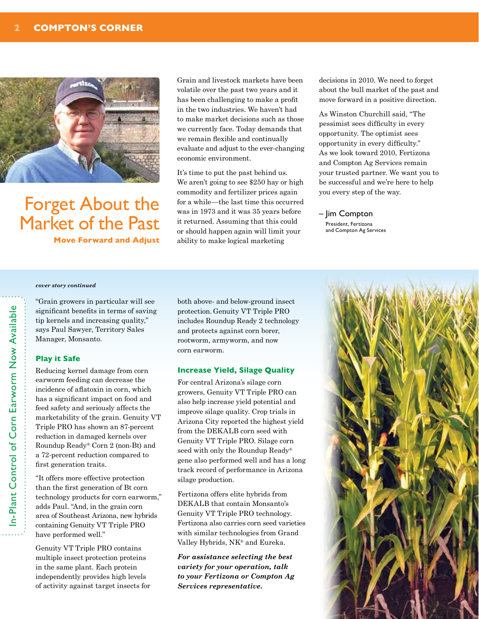

Forget About the Market of the Past **Move Forward and Adjust**  Grain and livestock markets have been volatile over the past two years and it has been challenging to make a profit in the two industries. We haven't had to make market decisions such as those we currently face. Today demands that we remain flexible and continually evaluate and adjust to the ever-changing economic environment.

It's time to put the past behind us. We aren't going to see \$250 hay or high commodity and fertilizer prices again for a while—the last time this occurred was in 1973 and it was 35 years before it returned. Assuming that this could or should happen again will limit your ability to make logical marketing

decisions in 2010. We need to forget about the bull market of the past and move forward in a positive direction.

As Winston Churchill said, "The pessimist sees difficulty in every opportunity. The optimist sees opportunity in every difficulty." As we look toward 2010, Fertizona and Compton Ag Services remain your trusted partner. We want you to be successful and we're here to help you every step of the way.

– Jim Compton President, Fertizona and Compton Ag Services

#### *cover story continued*

"Grain growers in particular will see significant benefits in terms of saving tip kernels and increasing quality," says Paul Sawyer, Territory Sales Manager, Monsanto.

#### **Play it Safe**

Reducing kernel damage from corn earworm feeding can decrease the incidence of aflatoxin in corn, which has a significant impact on food and feed safety and seriously affects the marketability of the grain. Genuity VT Triple PRO has shown an 87-percent reduction in damaged kernels over Roundup Ready® Corn 2 (non-Bt) and a 72-percent reduction compared to first generation traits.

"It offers more effective protection than the first generation of Bt corn technology products for corn earworm," adds Paul. "And, in the grain corn area of Southeast Arizona, new hybrids containing Genuity VT Triple PRO have performed well."

Genuity VT Triple PRO contains multiple insect protection proteins in the same plant. Each protein independently provides high levels of activity against target insects for both above- and below-ground insect protection. Genuity VT Triple PRO includes Roundup Ready 2 technology and protects against corn borer, rootworm, armyworm, and now corn earworm.

### **Increase Yield, Silage Quality**

For central Arizona's silage corn growers, Genuity VT Triple PRO can also help increase yield potential and improve silage quality. Crop trials in Arizona City reported the highest yield from the DEKALB corn seed with Genuity VT Triple PRO. Silage corn seed with only the Roundup Ready® gene also performed well and has a long track record of performance in Arizona silage production.

Fertizona offers elite hybrids from DEKALB that contain Monsanto's Genuity VT Triple PRO technology. Fertizona also carries corn seed varieties with similar technologies from Grand Valley Hybrids, NK® and Eureka.

*For assistance selecting the best variety for your operation, talk to your Fertizona or Compton Ag Services representative.*

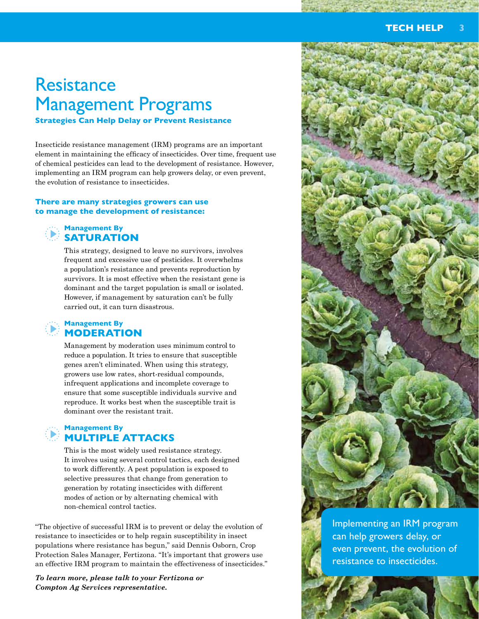# **Resistance** Management Programs

**Strategies Can Help Delay or Prevent Resistance**

Insecticide resistance management (IRM) programs are an important element in maintaining the efficacy of insecticides. Over time, frequent use of chemical pesticides can lead to the development of resistance. However, implementing an IRM program can help growers delay, or even prevent, the evolution of resistance to insecticides.

## **There are many strategies growers can use to manage the development of resistance:**



## **Management By SATURATION**

This strategy, designed to leave no survivors, involves frequent and excessive use of pesticides. It overwhelms a population's resistance and prevents reproduction by survivors. It is most effective when the resistant gene is dominant and the target population is small or isolated. However, if management by saturation can't be fully carried out, it can turn disastrous.

## **Management By MODERATION**

Management by moderation uses minimum control to reduce a population. It tries to ensure that susceptible genes aren't eliminated. When using this strategy, growers use low rates, short-residual compounds, infrequent applications and incomplete coverage to ensure that some susceptible individuals survive and reproduce. It works best when the susceptible trait is dominant over the resistant trait.

## **Management By MULTIPLE ATTACKS**

This is the most widely used resistance strategy. It involves using several control tactics, each designed to work differently. A pest population is exposed to selective pressures that change from generation to generation by rotating insecticides with different modes of action or by alternating chemical with non-chemical control tactics.

"The objective of successful IRM is to prevent or delay the evolution of resistance to insecticides or to help regain susceptibility in insect populations where resistance has begun," said Dennis Osborn, Crop Protection Sales Manager, Fertizona. "It's important that growers use an effective IRM program to maintain the effectiveness of insecticides."

*To learn more, please talk to your Fertizona or Compton Ag Services representative.* 



Implementing an IRM program can help growers delay, or even prevent, the evolution of resistance to insecticides.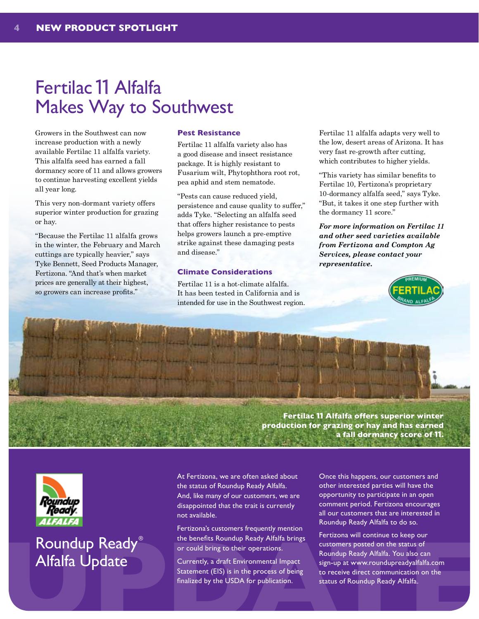# Fertilac 11 Alfalfa Makes Way to Southwest

Growers in the Southwest can now increase production with a newly available Fertilac 11 alfalfa variety. This alfalfa seed has earned a fall dormancy score of 11 and allows growers to continue harvesting excellent yields all year long.

This very non-dormant variety offers superior winter production for grazing or hay.

"Because the Fertilac 11 alfalfa grows in the winter, the February and March cuttings are typically heavier," says Tyke Bennett, Seed Products Manager, Fertizona. "And that's when market prices are generally at their highest, so growers can increase profits."

## **Pest Resistance**

Fertilac 11 alfalfa variety also has a good disease and insect resistance package. It is highly resistant to Fusarium wilt, Phytophthora root rot, pea aphid and stem nematode.

"Pests can cause reduced yield, persistence and cause quality to suffer," adds Tyke. "Selecting an alfalfa seed that offers higher resistance to pests helps growers launch a pre-emptive strike against these damaging pests and disease."

## **Climate Considerations**

Fertilac 11 is a hot-climate alfalfa. It has been tested in California and is intended for use in the Southwest region. Fertilac 11 alfalfa adapts very well to the low, desert areas of Arizona. It has very fast re-growth after cutting, which contributes to higher yields.

"This variety has similar benefits to Fertilac 10, Fertizona's proprietary 10-dormancy alfalfa seed," says Tyke. "But, it takes it one step further with the dormancy 11 score."

*For more information on Fertilac 11 and other seed varieties available from Fertizona and Compton Ag Services, please contact your representative.*



**Fertilac** 11 **Alfalfa offers superior winter production for grazing or hay and has earned a fall dormancy score of** 11**.**



## Roundup Ready® Alfalfa Update

At Fertizona, we are often asked about the status of Roundup Ready Alfalfa. And, like many of our customers, we are disappointed that the trait is currently not available.

52

Fertizona's customers frequently mention the benefits Roundup Ready Alfalfa brings or could bring to their operations.

Currently, a draft Environmental Impact Statement (EIS) is in the process of being finalized by the USDA for publication.

Once this happens, our customers and other interested parties will have the opportunity to participate in an open comment period. Fertizona encourages all our customers that are interested in Roundup Ready Alfalfa to do so.

**EXECUTED Ready**<br>
The benefits Roundup Ready Alfalfa brings<br>
or could bring to their operations.<br>
The benefits Roundup Ready Alfalfa brings<br>
or could bring to their operations.<br>
The process of the status of Roundup Ready A Fertizona will continue to keep our customers posted on the status of Roundup Ready Alfalfa. You also can sign-up at www.roundupreadyalfalfa.com to receive direct communication on the status of Roundup Ready Alfalfa.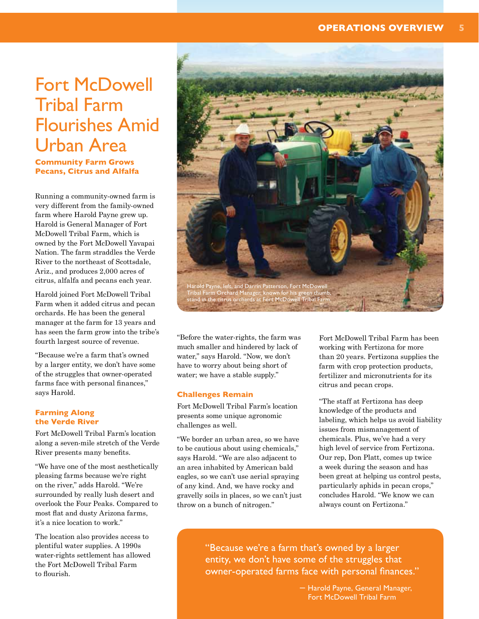# Fort McDowell Tribal Farm Flourishes Amid Urban Area

**Community Farm Grows Pecans, Citrus and Alfalfa**

Running a community-owned farm is very different from the family-owned farm where Harold Payne grew up. Harold is General Manager of Fort McDowell Tribal Farm, which is owned by the Fort McDowell Yavapai Nation. The farm straddles the Verde River to the northeast of Scottsdale, Ariz., and produces 2,000 acres of citrus, alfalfa and pecans each year.

Harold joined Fort McDowell Tribal Farm when it added citrus and pecan orchards. He has been the general manager at the farm for 13 years and has seen the farm grow into the tribe's fourth largest source of revenue.

"Because we're a farm that's owned by a larger entity, we don't have some of the struggles that owner-operated farms face with personal finances," says Harold.

## **Farming Along the Verde River**

Fort McDowell Tribal Farm's location along a seven-mile stretch of the Verde River presents many benefits.

"We have one of the most aesthetically pleasing farms because we're right on the river," adds Harold. "We're surrounded by really lush desert and overlook the Four Peaks. Compared to most flat and dusty Arizona farms, it's a nice location to work."

The location also provides access to plentiful water supplies. A 1990s water-rights settlement has allowed the Fort McDowell Tribal Farm to flourish.



"Before the water-rights, the farm was much smaller and hindered by lack of water," says Harold. "Now, we don't have to worry about being short of water; we have a stable supply."

## **Challenges Remain**

Fort McDowell Tribal Farm's location presents some unique agronomic challenges as well.

"We border an urban area, so we have to be cautious about using chemicals," says Harold. "We are also adjacent to an area inhabited by American bald eagles, so we can't use aerial spraying of any kind. And, we have rocky and gravelly soils in places, so we can't just throw on a bunch of nitrogen."

Fort McDowell Tribal Farm has been working with Fertizona for more than 20 years. Fertizona supplies the farm with crop protection products, fertilizer and micronutrients for its citrus and pecan crops.

"The staff at Fertizona has deep knowledge of the products and labeling, which helps us avoid liability issues from mismanagement of chemicals. Plus, we've had a very high level of service from Fertizona. Our rep, Don Platt, comes up twice a week during the season and has been great at helping us control pests, particularly aphids in pecan crops," concludes Harold. "We know we can always count on Fertizona."

The location also provides access to<br>
plentiful water supplies. A 1990s<br>
water-rights settlement has allowed<br>
the Fort McDowell Tribal Farm<br>
to flourish.<br>
<br>
Let a farm that's owned by a larger<br>
entity, we don't have some o entity, we don't have some of the struggles that owner-operated farms face with personal finances."

– Harold Payne, General Manager, Fort McDowell Tribal Farm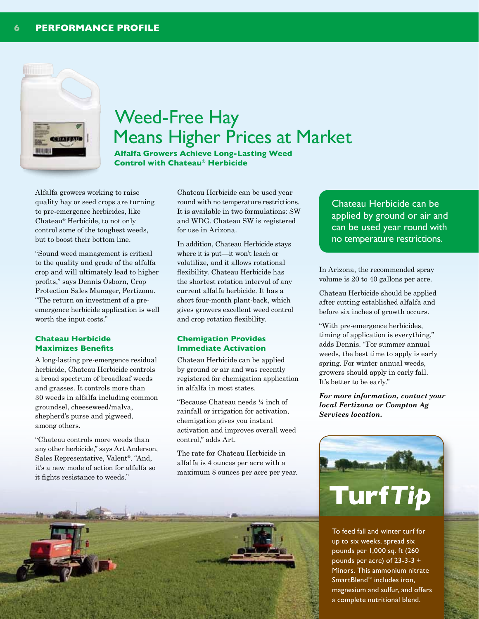

# Weed-Free Hay Means Higher Prices at Market

**Alfalfa Growers Achieve Long-Lasting Weed Control with Chateau® Herbicide**

Alfalfa growers working to raise quality hay or seed crops are turning to pre-emergence herbicides, like Chateau® Herbicide, to not only control some of the toughest weeds, but to boost their bottom line.

"Sound weed management is critical to the quality and grade of the alfalfa crop and will ultimately lead to higher profits," says Dennis Osborn, Crop Protection Sales Manager, Fertizona. "The return on investment of a preemergence herbicide application is well worth the input costs."

## **Chateau Herbicide Maximizes Benefits**

A long-lasting pre-emergence residual herbicide, Chateau Herbicide controls a broad spectrum of broadleaf weeds and grasses. It controls more than 30 weeds in alfalfa including common groundsel, cheeseweed/malva, shepherd's purse and pigweed, among others.

"Chateau controls more weeds than any other herbicide," says Art Anderson, Sales Representative, Valent®. "And, it's a new mode of action for alfalfa so it fights resistance to weeds."

Chateau Herbicide can be used year round with no temperature restrictions. It is available in two formulations: SW and WDG. Chateau SW is registered for use in Arizona.

In addition, Chateau Herbicide stays where it is put—it won't leach or volatilize, and it allows rotational flexibility. Chateau Herbicide has the shortest rotation interval of any current alfalfa herbicide. It has a short four-month plant-back, which gives growers excellent weed control and crop rotation flexibility.

## **Chemigation Provides Immediate Activation**

Chateau Herbicide can be applied by ground or air and was recently registered for chemigation application in alfalfa in most states.

"Because Chateau needs ¼ inch of rainfall or irrigation for activation, chemigation gives you instant activation and improves overall weed control," adds Art.

The rate for Chateau Herbicide in alfalfa is 4 ounces per acre with a maximum 8 ounces per acre per year.

## Chateau Herbicide can be applied by ground or air and can be used year round with no temperature restrictions.

In Arizona, the recommended spray volume is 20 to 40 gallons per acre.

Chateau Herbicide should be applied after cutting established alfalfa and before six inches of growth occurs.

"With pre-emergence herbicides, timing of application is everything," adds Dennis. "For summer annual weeds, the best time to apply is early spring. For winter annual weeds, growers should apply in early fall. It's better to be early."

*For more information, contact your local Fertizona or Compton Ag Services location.*



To feed fall and winter turf for up to six weeks, spread six pounds per 1,000 sq. ft (260 pounds per acre) of 23-3-3 + Minors. This ammonium nitrate SmartBlend™ includes iron, magnesium and sulfur, and offers a complete nutritional blend.